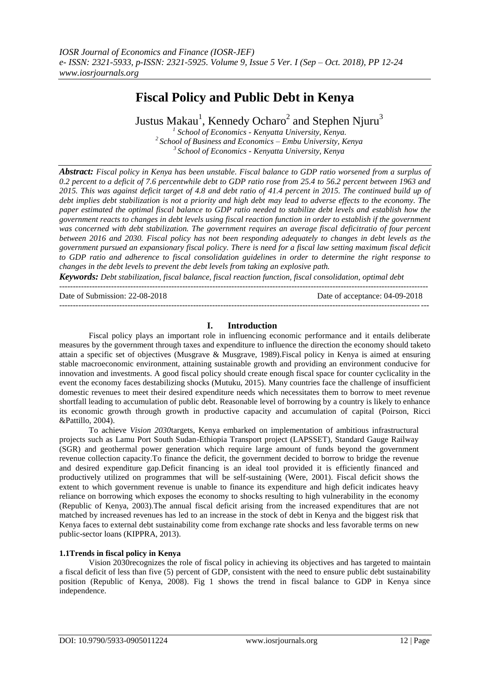# **Fiscal Policy and Public Debt in Kenya**

Justus Makau $^{\rm l}$ , Kennedy Ocharo $^{\rm 2}$  and Stephen Njuru $^{\rm 3}$ 

*1 School of Economics - Kenyatta University, Kenya. <sup>2</sup>School of Business and Economics – Embu University, Kenya <sup>3</sup>School of Economics - Kenyatta University, Kenya*

*Abstract: Fiscal policy in Kenya has been unstable. Fiscal balance to GDP ratio worsened from a surplus of 0.2 percent to a deficit of 7.6 percentwhile debt to GDP ratio rose from 25.4 to 56.2 percent between 1963 and 2015. This was against deficit target of 4.8 and debt ratio of 41.4 percent in 2015. The continued build up of debt implies debt stabilization is not a priority and high debt may lead to adverse effects to the economy. The paper estimated the optimal fiscal balance to GDP ratio needed to stabilize debt levels and establish how the government reacts to changes in debt levels using fiscal reaction function in order to establish if the government was concerned with debt stabilization. The government requires an average fiscal deficitratio of four percent between 2016 and 2030. Fiscal policy has not been responding adequately to changes in debt levels as the government pursued an expansionary fiscal policy. There is need for a fiscal law setting maximum fiscal deficit to GDP ratio and adherence to fiscal consolidation guidelines in order to determine the right response to changes in the debt levels to prevent the debt levels from taking an explosive path.*

*Keywords: Debt stabilization, fiscal balance, fiscal reaction function, fiscal consolidation, optimal debt*

Date of Submission: 22-08-2018 Date of acceptance: 04-09-2018

## **I. Introduction**

---------------------------------------------------------------------------------------------------------------------------------------

---------------------------------------------------------------------------------------------------------------------------------------

Fiscal policy plays an important role in influencing economic performance and it entails deliberate measures by the government through taxes and expenditure to influence the direction the economy should taketo attain a specific set of objectives (Musgrave & Musgrave, 1989).Fiscal policy in Kenya is aimed at ensuring stable macroeconomic environment, attaining sustainable growth and providing an environment conducive for innovation and investments. A good fiscal policy should create enough fiscal space for counter cyclicality in the event the economy faces destabilizing shocks (Mutuku, 2015). Many countries face the challenge of insufficient domestic revenues to meet their desired expenditure needs which necessitates them to borrow to meet revenue shortfall leading to accumulation of public debt. Reasonable level of borrowing by a country is likely to enhance its economic growth through growth in productive capacity and accumulation of capital (Poirson, Ricci &Pattillo, 2004).

To achieve *Vision 2030*targets, Kenya embarked on implementation of ambitious infrastructural projects such as Lamu Port South Sudan-Ethiopia Transport project (LAPSSET), Standard Gauge Railway (SGR) and geothermal power generation which require large amount of funds beyond the government revenue collection capacity.To finance the deficit, the government decided to borrow to bridge the revenue and desired expenditure gap.Deficit financing is an ideal tool provided it is efficiently financed and productively utilized on programmes that will be self-sustaining (Were, 2001). Fiscal deficit shows the extent to which government revenue is unable to finance its expenditure and high deficit indicates heavy reliance on borrowing which exposes the economy to shocks resulting to high vulnerability in the economy (Republic of Kenya, 2003).The annual fiscal deficit arising from the increased expenditures that are not matched by increased revenues has led to an increase in the stock of debt in Kenya and the biggest risk that Kenya faces to external debt sustainability come from exchange rate shocks and less favorable terms on new public-sector loans (KIPPRA, 2013).

# **1.1Trends in fiscal policy in Kenya**

Vision 2030recognizes the role of fiscal policy in achieving its objectives and has targeted to maintain a fiscal deficit of less than five (5) percent of GDP, consistent with the need to ensure public debt sustainability position (Republic of Kenya, 2008). Fig 1 shows the trend in fiscal balance to GDP in Kenya since independence.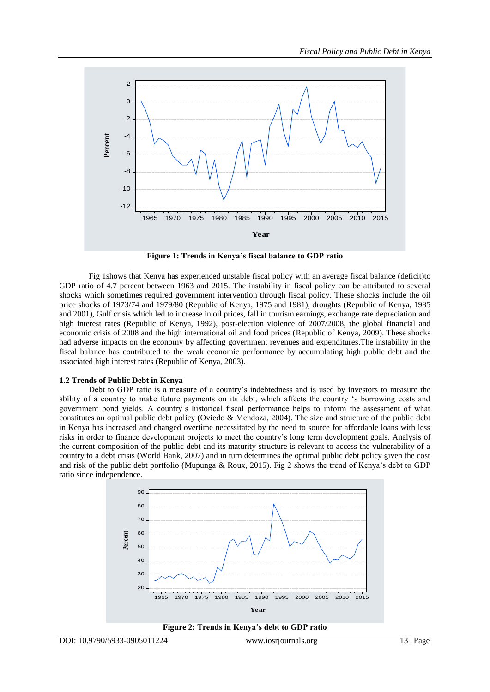

**Figure 1: Trends in Kenya's fiscal balance to GDP ratio**

Fig 1shows that Kenya has experienced unstable fiscal policy with an average fiscal balance (deficit)to GDP ratio of 4.7 percent between 1963 and 2015. The instability in fiscal policy can be attributed to several shocks which sometimes required government intervention through fiscal policy. These shocks include the oil price shocks of 1973/74 and 1979/80 (Republic of Kenya, 1975 and 1981), droughts (Republic of Kenya, 1985 and 2001), Gulf crisis which led to increase in oil prices, fall in tourism earnings, exchange rate depreciation and high interest rates (Republic of Kenya, 1992), post-election violence of 2007/2008, the global financial and economic crisis of 2008 and the high international oil and food prices (Republic of Kenya, 2009). These shocks had adverse impacts on the economy by affecting government revenues and expenditures.The instability in the fiscal balance has contributed to the weak economic performance by accumulating high public debt and the associated high interest rates (Republic of Kenya, 2003).

#### **1.2 Trends of Public Debt in Kenya**

Debt to GDP ratio is a measure of a country"s indebtedness and is used by investors to measure the ability of a country to make future payments on its debt, which affects the country "s borrowing costs and government bond yields. A country"s historical fiscal performance helps to inform the assessment of what constitutes an optimal public debt policy (Oviedo & Mendoza, 2004). The size and structure of the public debt in Kenya has increased and changed overtime necessitated by the need to source for affordable loans with less risks in order to finance development projects to meet the country"s long term development goals. Analysis of the current composition of the public debt and its maturity structure is relevant to access the vulnerability of a country to a debt crisis (World Bank, 2007) and in turn determines the optimal public debt policy given the cost and risk of the public debt portfolio (Mupunga & Roux, 2015). Fig 2 shows the trend of Kenya"s debt to GDP ratio since independence.



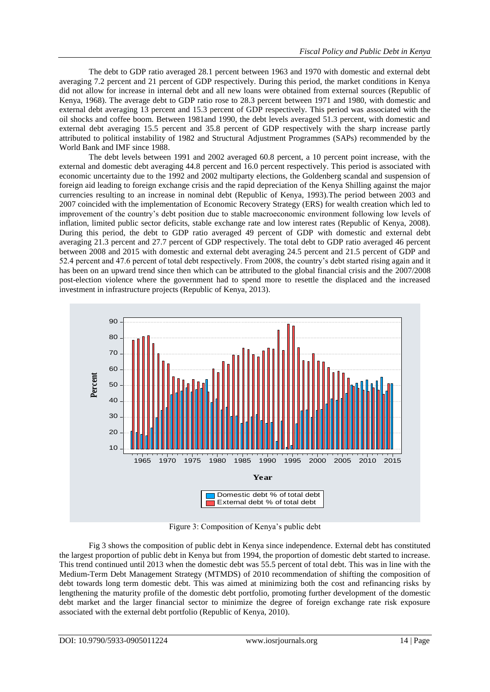The debt to GDP ratio averaged 28.1 percent between 1963 and 1970 with domestic and external debt averaging 7.2 percent and 21 percent of GDP respectively. During this period, the market conditions in Kenya did not allow for increase in internal debt and all new loans were obtained from external sources (Republic of Kenya, 1968). The average debt to GDP ratio rose to 28.3 percent between 1971 and 1980, with domestic and external debt averaging 13 percent and 15.3 percent of GDP respectively. This period was associated with the oil shocks and coffee boom. Between 1981and 1990, the debt levels averaged 51.3 percent, with domestic and external debt averaging 15.5 percent and 35.8 percent of GDP respectively with the sharp increase partly attributed to political instability of 1982 and Structural Adjustment Programmes (SAPs) recommended by the World Bank and IMF since 1988.

The debt levels between 1991 and 2002 averaged 60.8 percent, a 10 percent point increase, with the external and domestic debt averaging 44.8 percent and 16.0 percent respectively. This period is associated with economic uncertainty due to the 1992 and 2002 multiparty elections, the Goldenberg scandal and suspension of foreign aid leading to foreign exchange crisis and the rapid depreciation of the Kenya Shilling against the major currencies resulting to an increase in nominal debt (Republic of Kenya, 1993).The period between 2003 and 2007 coincided with the implementation of Economic Recovery Strategy (ERS) for wealth creation which led to improvement of the country"s debt position due to stable macroeconomic environment following low levels of inflation, limited public sector deficits, stable exchange rate and low interest rates (Republic of Kenya, 2008). During this period, the debt to GDP ratio averaged 49 percent of GDP with domestic and external debt averaging 21.3 percent and 27.7 percent of GDP respectively. The total debt to GDP ratio averaged 46 percent between 2008 and 2015 with domestic and external debt averaging 24.5 percent and 21.5 percent of GDP and 52.4 percent and 47.6 percent of total debt respectively. From 2008, the country"s debt started rising again and it has been on an upward trend since then which can be attributed to the global financial crisis and the 2007/2008 post-election violence where the government had to spend more to resettle the displaced and the increased investment in infrastructure projects (Republic of Kenya, 2013).



Figure 3: Composition of Kenya"s public debt

Fig 3 shows the composition of public debt in Kenya since independence. External debt has constituted the largest proportion of public debt in Kenya but from 1994, the proportion of domestic debt started to increase. This trend continued until 2013 when the domestic debt was 55.5 percent of total debt. This was in line with the Medium-Term Debt Management Strategy (MTMDS) of 2010 recommendation of shifting the composition of debt towards long term domestic debt. This was aimed at minimizing both the cost and refinancing risks by lengthening the maturity profile of the domestic debt portfolio, promoting further development of the domestic debt market and the larger financial sector to minimize the degree of foreign exchange rate risk exposure associated with the external debt portfolio (Republic of Kenya, 2010).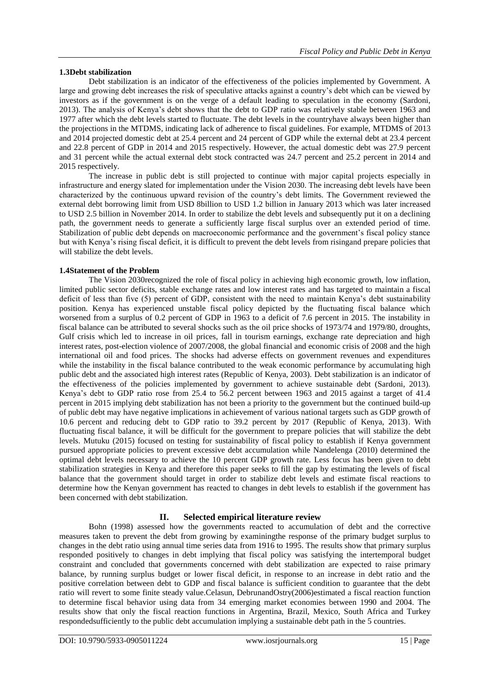# **1.3Debt stabilization**

Debt stabilization is an indicator of the effectiveness of the policies implemented by Government. A large and growing debt increases the risk of speculative attacks against a country"s debt which can be viewed by investors as if the government is on the verge of a default leading to speculation in the economy (Sardoni, 2013). The analysis of Kenya"s debt shows that the debt to GDP ratio was relatively stable between 1963 and 1977 after which the debt levels started to fluctuate. The debt levels in the countryhave always been higher than the projections in the MTDMS, indicating lack of adherence to fiscal guidelines. For example, MTDMS of 2013 and 2014 projected domestic debt at 25.4 percent and 24 percent of GDP while the external debt at 23.4 percent and 22.8 percent of GDP in 2014 and 2015 respectively. However, the actual domestic debt was 27.9 percent and 31 percent while the actual external debt stock contracted was 24.7 percent and 25.2 percent in 2014 and 2015 respectively.

The increase in public debt is still projected to continue with major capital projects especially in infrastructure and energy slated for implementation under the Vision 2030. The increasing debt levels have been characterized by the continuous upward revision of the country"s debt limits. The Government reviewed the external debt borrowing limit from USD 8billion to USD 1.2 billion in January 2013 which was later increased to USD 2.5 billion in November 2014. In order to stabilize the debt levels and subsequently put it on a declining path, the government needs to generate a sufficiently large fiscal surplus over an extended period of time. Stabilization of public debt depends on macroeconomic performance and the government"s fiscal policy stance but with Kenya"s rising fiscal deficit, it is difficult to prevent the debt levels from risingand prepare policies that will stabilize the debt levels.

## **1.4Statement of the Problem**

The Vision 2030recognized the role of fiscal policy in achieving high economic growth, low inflation, limited public sector deficits, stable exchange rates and low interest rates and has targeted to maintain a fiscal deficit of less than five (5) percent of GDP, consistent with the need to maintain Kenya"s debt sustainability position. Kenya has experienced unstable fiscal policy depicted by the fluctuating fiscal balance which worsened from a surplus of 0.2 percent of GDP in 1963 to a deficit of 7.6 percent in 2015. The instability in fiscal balance can be attributed to several shocks such as the oil price shocks of 1973/74 and 1979/80, droughts, Gulf crisis which led to increase in oil prices, fall in tourism earnings, exchange rate depreciation and high interest rates, post-election violence of 2007/2008, the global financial and economic crisis of 2008 and the high international oil and food prices. The shocks had adverse effects on government revenues and expenditures while the instability in the fiscal balance contributed to the weak economic performance by accumulating high public debt and the associated high interest rates (Republic of Kenya, 2003). Debt stabilization is an indicator of the effectiveness of the policies implemented by government to achieve sustainable debt (Sardoni, 2013). Kenya"s debt to GDP ratio rose from 25.4 to 56.2 percent between 1963 and 2015 against a target of 41.4 percent in 2015 implying debt stabilization has not been a priority to the government but the continued build-up of public debt may have negative implications in achievement of various national targets such as GDP growth of 10.6 percent and reducing debt to GDP ratio to 39.2 percent by 2017 (Republic of Kenya, 2013). With fluctuating fiscal balance, it will be difficult for the government to prepare policies that will stabilize the debt levels. Mutuku (2015) focused on testing for sustainability of fiscal policy to establish if Kenya government pursued appropriate policies to prevent excessive debt accumulation while Nandelenga (2010) determined the optimal debt levels necessary to achieve the 10 percent GDP growth rate. Less focus has been given to debt stabilization strategies in Kenya and therefore this paper seeks to fill the gap by estimating the levels of fiscal balance that the government should target in order to stabilize debt levels and estimate fiscal reactions to determine how the Kenyan government has reacted to changes in debt levels to establish if the government has been concerned with debt stabilization.

# **II. Selected empirical literature review**

Bohn (1998) assessed how the governments reacted to accumulation of debt and the corrective measures taken to prevent the debt from growing by examiningthe response of the primary budget surplus to changes in the debt ratio using annual time series data from 1916 to 1995. The results show that primary surplus responded positively to changes in debt implying that fiscal policy was satisfying the intertemporal budget constraint and concluded that governments concerned with debt stabilization are expected to raise primary balance, by running surplus budget or lower fiscal deficit, in response to an increase in debt ratio and the positive correlation between debt to GDP and fiscal balance is sufficient condition to guarantee that the debt ratio will revert to some finite steady value.Celasun, DebrunandOstry(2006)estimated a fiscal reaction function to determine fiscal behavior using data from 34 emerging market economies between 1990 and 2004. The results show that only the fiscal reaction functions in Argentina, Brazil, Mexico, South Africa and Turkey respondedsufficiently to the public debt accumulation implying a sustainable debt path in the 5 countries.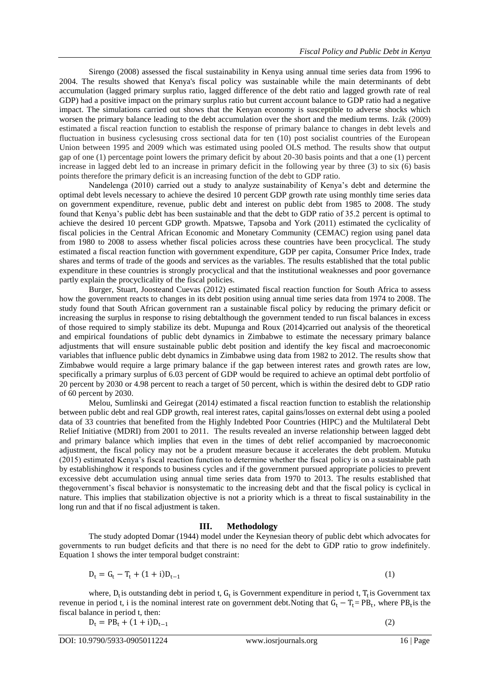Sirengo (2008) assessed the fiscal sustainability in Kenya using annual time series data from 1996 to 2004. The results showed that Kenya's fiscal policy was sustainable while the main determinants of debt accumulation (lagged primary surplus ratio, lagged difference of the debt ratio and lagged growth rate of real GDP) had a positive impact on the primary surplus ratio but current account balance to GDP ratio had a negative impact. The simulations carried out shows that the Kenyan economy is susceptible to adverse shocks which worsen the primary balance leading to the debt accumulation over the short and the medium terms. Izák (2009) estimated a fiscal reaction function to establish the response of primary balance to changes in debt levels and fluctuation in business cyclesusing cross sectional data for ten (10) post socialist countries of the European Union between 1995 and 2009 which was estimated using pooled OLS method. The results show that output gap of one (1) percentage point lowers the primary deficit by about 20-30 basis points and that a one (1) percent increase in lagged debt led to an increase in primary deficit in the following year by three  $(3)$  to six  $(6)$  basis points therefore the primary deficit is an increasing function of the debt to GDP ratio.

Nandelenga (2010) carried out a study to analyze sustainability of Kenya"s debt and determine the optimal debt levels necessary to achieve the desired 10 percent GDP growth rate using monthly time series data on government expenditure, revenue, public debt and interest on public debt from 1985 to 2008. The study found that Kenya"s public debt has been sustainable and that the debt to GDP ratio of 35.2 percent is optimal to achieve the desired 10 percent GDP growth. Mpatswe, Tapsoba and York (2011) estimated the cyclicality of fiscal policies in the Central African Economic and Monetary Community (CEMAC) region using panel data from 1980 to 2008 to assess whether fiscal policies across these countries have been procyclical. The study estimated a fiscal reaction function with government expenditure, GDP per capita, Consumer Price Index, trade shares and terms of trade of the goods and services as the variables. The results established that the total public expenditure in these countries is strongly procyclical and that the institutional weaknesses and poor governance partly explain the procyclicality of the fiscal policies.

Burger, Stuart, Joosteand Cuevas (2012) estimated fiscal reaction function for South Africa to assess how the government reacts to changes in its debt position using annual time series data from 1974 to 2008. The study found that South African government ran a sustainable fiscal policy by reducing the primary deficit or increasing the surplus in response to rising debtalthough the government tended to run fiscal balances in excess of those required to simply stabilize its debt. Mupunga and Roux (2014)carried out analysis of the theoretical and empirical foundations of public debt dynamics in Zimbabwe to estimate the necessary primary balance adjustments that will ensure sustainable public debt position and identify the key fiscal and macroeconomic variables that influence public debt dynamics in Zimbabwe using data from 1982 to 2012. The results show that Zimbabwe would require a large primary balance if the gap between interest rates and growth rates are low, specifically a primary surplus of 6.03 percent of GDP would be required to achieve an optimal debt portfolio of 20 percent by 2030 or 4.98 percent to reach a target of 50 percent, which is within the desired debt to GDP ratio of 60 percent by 2030.

Melou, Sumlinski and Geiregat (2014*)* estimated a fiscal reaction function to establish the relationship between public debt and real GDP growth, real interest rates, capital gains/losses on external debt using a pooled data of 33 countries that benefited from the Highly Indebted Poor Countries (HIPC) and the Multilateral Debt Relief Initiative (MDRI) from 2001 to 2011. The results revealed an inverse relationship between lagged debt and primary balance which implies that even in the times of debt relief accompanied by macroeconomic adjustment, the fiscal policy may not be a prudent measure because it accelerates the debt problem. Mutuku (2015) estimated Kenya"s fiscal reaction function to determine whether the fiscal policy is on a sustainable path by establishinghow it responds to business cycles and if the government pursued appropriate policies to prevent excessive debt accumulation using annual time series data from 1970 to 2013. The results established that thegovernment"s fiscal behavior is nonsystematic to the increasing debt and that the fiscal policy is cyclical in nature. This implies that stabilization objective is not a priority which is a threat to fiscal sustainability in the long run and that if no fiscal adjustment is taken.

## **III. Methodology**

The study adopted Domar (1944) model under the Keynesian theory of public debt which advocates for governments to run budget deficits and that there is no need for the debt to GDP ratio to grow indefinitely. Equation 1 shows the inter temporal budget constraint:

$$
D_t = G_t - T_t + (1 + i)D_{t-1}
$$
 (1)

where,  $D_t$  is outstanding debt in period t,  $G_t$  is Government expenditure in period t,  $T_t$  is Government tax revenue in period t, i is the nominal interest rate on government debt. Noting that  $G_t - T_t = PB_t$ , where  $PB_t$  is the fiscal balance in period t, then:

$$
D_t = PB_t + (1 + i)D_{t-1}
$$

(2)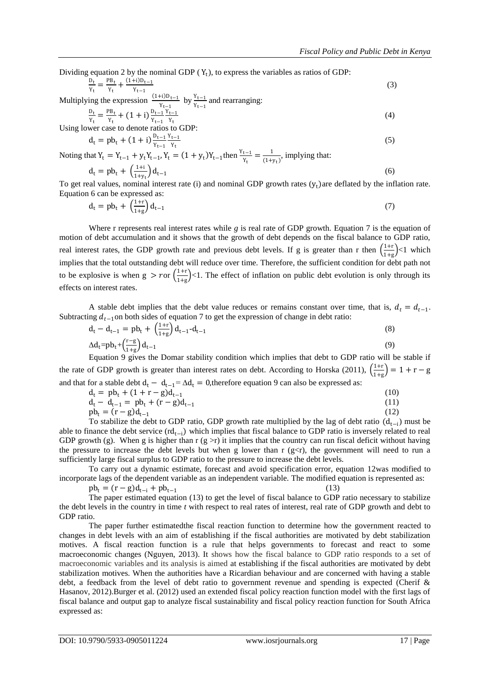Dividing equation 2 by the nominal GDP  $(Y_t)$ , to express the variables as ratios of GDP:

$$
\frac{D_t}{Y_t} = \frac{PB_t}{Y_t} + \frac{(1+i)D_{t-1}}{Y_{t-1}}
$$
(3)

Multiplying the expression  $\frac{(1+i)D_{t-1}}{Y_{t-1}}$  by  $\frac{Y_{t-1}}{Y_{t-1}}$  and rearranging:

$$
\frac{p_t}{Y_t} = \frac{PB_t}{Y_t} + (1+i) \frac{p_{t-1}}{Y_{t-1}} \frac{Y_{t-1}}{Y_t}
$$
\n(4)

Using lower case to denote ratios to GDP:

$$
d_t = pb_t + (1 + i) \frac{p_{t-1}}{Y_{t-1}} \frac{Y_{t-1}}{Y_t}
$$
\n(5)

Noting that  $Y_t = Y_{t-1} + y_t Y_{t-1}$ ,  $Y_t = (1 + y_t) Y_{t-1}$ then  $\frac{Y_{t-1}}{Y_t} = \frac{1}{(1 + y_t)^2}$  $\frac{1}{(1+y_t)}$ , implying that:

$$
d_{t} = pb_{t} + \left(\frac{1+i}{1+y_{t}}\right) d_{t-1}
$$
\n(6)

To get real values, nominal interest rate (i) and nominal GDP growth rates  $(y_t)$ are deflated by the inflation rate. Equation 6 can be expressed as:

$$
d_t = pb_t + \left(\frac{1+r}{1+g}\right) d_{t-1} \tag{7}
$$

Where r represents real interest rates while *g* is real rate of GDP growth. Equation 7 is the equation of motion of debt accumulation and it shows that the growth of debt depends on the fiscal balance to GDP ratio, real interest rates, the GDP growth rate and previous debt levels. If g is greater than r then  $\left(\frac{1+r}{1+r}\right)$  $\frac{1+1}{1+g}$  <1 which implies that the total outstanding debt will reduce over time. Therefore, the sufficient condition for debt path not to be explosive is when  $g > r$  or  $\left(\frac{1+r}{1+r}\right)$  $\frac{1+1}{1+g}$  <1. The effect of inflation on public debt evolution is only through its effects on interest rates.

A stable debt implies that the debt value reduces or remains constant over time, that is,  $d_t = d_{t-1}$ . Subtracting  $d_{t-1}$ on both sides of equation 7 to get the expression of change in debt ratio:

$$
d_{t} - d_{t-1} = pb_{t} + \left(\frac{1+r}{1+g}\right) d_{t-1} - d_{t-1}
$$
\n
$$
\Delta d_{t} = pb_{t} + \left(\frac{r-g}{1+g}\right) d_{t-1}
$$
\n(8)\n(9)

Equation 9 gives the Domar stability condition which implies that debt to GDP ratio will be stable if the rate of GDP growth is greater than interest rates on debt. According to Horska (2011),  $\left(\frac{1+i}{1+i}\right)$  $\frac{1+r}{1+g}$  = 1 + r – g and that for a stable debt d<sub>t</sub> − d<sub>t-1</sub>=  $\Delta d_t$  = 0, therefore equation 9 can also be expressed as:

$$
d_t = pb_t + (1 + r - g)d_{t-1}
$$
 (10)

 $d_t - d_{t-1} = pb_t + (r - g)d_{t-1}$ (11)  $(12)$ 

$$
pb_t = (r - g)d_{t-1}
$$
\n(12)  
\nTo stabilize the debt to GDP ratio, GDP growth rate multiplied by the lag of debt ratio  $(d_{t-i})$  must be able to finance the debt service  $(rd_{t-i})$  which implies that fiscal balance to GDP ratio is inversely related to real GDP growth (g). When g is higher than r (g>r) it implies that the country can run fiscal deficit without having the pressure to increase the debt levels but when g lower than r (g

sufficiently large fiscal surplus to GDP ratio to the pressure to increase the debt levels. To carry out a dynamic estimate, forecast and avoid specification error, equation 12was modified to incorporate lags of the dependent variable as an independent variable. The modified equation is represented as:

 $pb_t = (r - g)d_{t-1} + pb_{t-1}$ 

The paper estimated equation (13) to get the level of fiscal balance to GDP ratio necessary to stabilize the debt levels in the country in time *t* with respect to real rates of interest, real rate of GDP growth and debt to GDP ratio.

The paper further estimatedthe fiscal reaction function to determine how the government reacted to changes in debt levels with an aim of establishing if the fiscal authorities are motivated by debt stabilization motives. A fiscal reaction function is a rule that helps governments to forecast and react to some macroeconomic changes (Nguyen, 2013). It shows how the fiscal balance to GDP ratio responds to a set of macroeconomic variables and its analysis is aimed at establishing if the fiscal authorities are motivated by debt stabilization motives. When the authorities have a Ricardian behaviour and are concerned with having a stable debt, a feedback from the level of debt ratio to government revenue and spending is expected (Cherif & Hasanov, 2012).Burger et al. (2012) used an extended fiscal policy reaction function model with the first lags of fiscal balance and output gap to analyze fiscal sustainability and fiscal policy reaction function for South Africa expressed as:

(13)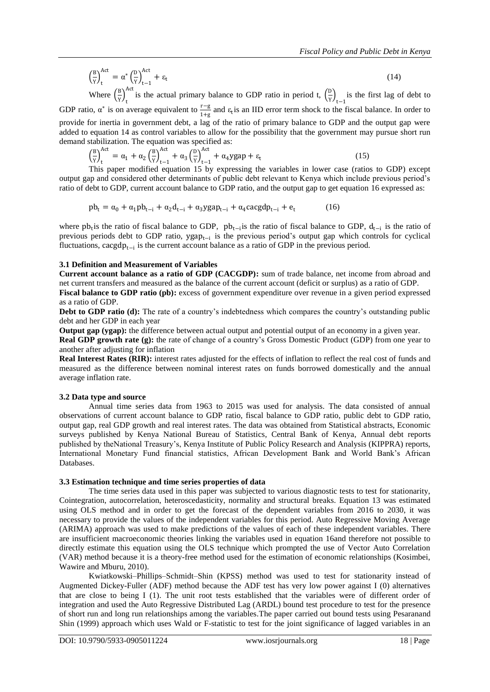$$
\left(\frac{B}{Y}\right)_t^{Act} = \alpha^* \left(\frac{D}{Y}\right)_{t-1}^{Act} + \varepsilon_t
$$
\n(14)

Where  $\left(\frac{B}{v}\right)$  $\frac{1}{Y}$ <sub>t</sub> Act is the actual primary balance to GDP ratio in period t,  $\left(\frac{D}{v}\right)$  $\frac{p}{y}\Big|_{t-1}$  is the first lag of debt to GDP ratio,  $\alpha^*$  is on average equivalent to  $\frac{r-g}{1}$  $\frac{1-\beta}{1+\beta}$  and  $\varepsilon_t$  is an IID error term shock to the fiscal balance. In order to provide for inertia in government debt, a lag of the ratio of primary balance to GDP and the output gap were added to equation 14 as control variables to allow for the possibility that the government may pursue short run demand stabilization. The equation was specified as:

 $\left(\frac{B}{v}\right)$  $\frac{1}{Y}$ <sub>t</sub> Act  $= \alpha_1 + \alpha_2 \left(\frac{B}{v}\right)$  $\frac{p}{Y}$ <sub>t−1</sub> Act  $+\alpha_3 \left(\frac{D}{v}\right)$  $\frac{v}{y}\Big|_{t-1}$ Act<br>  $+ \alpha_4$ ygap +  $\varepsilon_t$ (15)

This paper modified equation 15 by expressing the variables in lower case (ratios to GDP) except output gap and considered other determinants of public debt relevant to Kenya which include previous period"s ratio of debt to GDP, current account balance to GDP ratio, and the output gap to get equation 16 expressed as:

$$
pb_{t} = \alpha_{0} + \alpha_{1}pb_{t-i} + \alpha_{2}d_{t-i} + \alpha_{3}ygap_{t-i} + \alpha_{4}cacgdp_{t-i} + e_{t}
$$
 (16)

where pb<sub>t</sub> is the ratio of fiscal balance to GDP, pb<sub>t−i</sub> is the ratio of fiscal balance to GDP,  $d_{t-i}$  is the ratio of previous periods debt to GDP ratio, ygap<sub>t−i</sub> is the previous period's output gap which controls for cyclical fluctuations, cacgdp<sub>t−i</sub> is the current account balance as a ratio of GDP in the previous period.

#### **3.1 Definition and Measurement of Variables**

**Current account balance as a ratio of GDP (CACGDP):** sum of trade balance, net income from abroad and net current transfers and measured as the balance of the current account (deficit or surplus) as a ratio of GDP. **Fiscal balance to GDP ratio (pb):** excess of government expenditure over revenue in a given period expressed as a ratio of GDP.

**Debt to GDP ratio (d):** The rate of a country's indebtedness which compares the country's outstanding public debt and her GDP in each year

**Output gap (ygap):** the difference between actual output and potential output of an economy in a given year.

**Real GDP growth rate (g):** the rate of change of a country"s Gross Domestic Product (GDP) from one year to another after adjusting for inflation

**Real Interest Rates (RIR):** interest rates adjusted for the effects of [inflation](http://www.investopedia.com/terms/i/inflation.asp) to reflect the real [cost of funds](http://www.investopedia.com/terms/c/costoffunds.asp) and measured as the difference between nominal interest rates on funds borrowed domestically and the annual average inflation rate.

#### **3.2 Data type and source**

Annual time series data from 1963 to 2015 was used for analysis. The data consisted of annual observations of current account balance to GDP ratio, fiscal balance to GDP ratio, public debt to GDP ratio, output gap, real GDP growth and real interest rates. The data was obtained from Statistical abstracts, Economic surveys published by Kenya National Bureau of Statistics, Central Bank of Kenya, Annual debt reports published by theNational Treasury"s, Kenya Institute of Public Policy Research and Analysis (KIPPRA) reports, International Monetary Fund financial statistics, African Development Bank and World Bank"s African Databases.

## **3.3 Estimation technique and time series properties of data**

The time series data used in this paper was subjected to various diagnostic tests to test for stationarity, Cointegration, autocorrelation, heteroscedasticity, normality and structural breaks. Equation 13 was estimated using OLS method and in order to get the forecast of the dependent variables from 2016 to 2030, it was necessary to provide the values of the independent variables for this period. Auto Regressive Moving Average (ARIMA) approach was used to make predictions of the values of each of these independent variables. There are insufficient macroeconomic theories linking the variables used in equation 16and therefore not possible to directly estimate this equation using the OLS technique which prompted the use of Vector Auto Correlation (VAR) method because it is a theory-free method used for the estimation of economic relationships (Kosimbei, Wawire and Mburu, 2010).

Kwiatkowski–Phillips–Schmidt–Shin (KPSS) method was used to test for stationarity instead of Augmented Dickey-Fuller (ADF) method because the ADF test has very low power against I (0) alternatives that are close to being I (1). The unit root tests established that the variables were of different order of integration and used the Auto Regressive Distributed Lag (ARDL) bound test procedure to test for the presence of short run and long run relationships among the variables.The paper carried out bound tests using Pesaranand Shin (1999) approach which uses Wald or F-statistic to test for the joint significance of lagged variables in an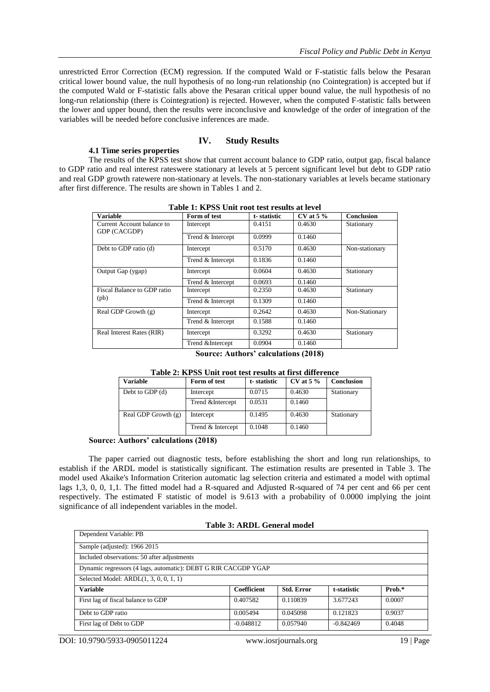unrestricted Error Correction (ECM) regression. If the computed Wald or F-statistic falls below the Pesaran critical lower bound value, the null hypothesis of no long-run relationship (no Cointegration) is accepted but if the computed Wald or F-statistic falls above the Pesaran critical upper bound value, the null hypothesis of no long-run relationship (there is Cointegration) is rejected. However, when the computed F-statistic falls between the lower and upper bound, then the results were inconclusive and knowledge of the order of integration of the variables will be needed before conclusive inferences are made.

# **IV. Study Results**

## **4.1 Time series properties**

The results of the KPSS test show that current account balance to GDP ratio, output gap, fiscal balance to GDP ratio and real interest rateswere stationary at levels at 5 percent significant level but debt to GDP ratio and real GDP growth ratewere non-stationary at levels. The non-stationary variables at levels became stationary after first difference. The results are shown in Tables 1 and 2.

| Table 1. KT 55 UHR TOOR RESULTS AT JEVEL   |                   |             |               |                   |  |
|--------------------------------------------|-------------------|-------------|---------------|-------------------|--|
| <b>Variable</b>                            | Form of test      | t-statistic | $CV$ at 5 $%$ | <b>Conclusion</b> |  |
| Current Account balance to<br>GDP (CACGDP) | Intercept         | 0.4151      | 0.4630        | Stationary        |  |
|                                            | Trend & Intercept | 0.0999      | 0.1460        |                   |  |
| Debt to GDP ratio (d)                      | Intercept         | 0.5170      | 0.4630        | Non-stationary    |  |
|                                            | Trend & Intercept | 0.1836      | 0.1460        |                   |  |
| Output Gap (ygap)                          | Intercept         | 0.0604      | 0.4630        | Stationary        |  |
|                                            | Trend & Intercept | 0.0693      | 0.1460        |                   |  |
| Fiscal Balance to GDP ratio                | Intercept         | 0.2350      | 0.4630        | Stationary        |  |
| (pb)                                       | Trend & Intercept | 0.1309      | 0.1460        |                   |  |
| Real GDP Growth (g)                        | Intercept         | 0.2642      | 0.4630        | Non-Stationary    |  |
|                                            | Trend & Intercept | 0.1588      | 0.1460        |                   |  |
| Real Interest Rates (RIR)                  | Intercept         | 0.3292      | 0.4630        | Stationary        |  |
|                                            | Trend & Intercept | 0.0904      | 0.1460        |                   |  |

**Table 1: KPSS Unit root test results at level**

**Source: Authors' calculations (2018)**

| Table 2: KPSS Unit root test results at first difference |                   |             |             |            |  |
|----------------------------------------------------------|-------------------|-------------|-------------|------------|--|
| <b>Variable</b>                                          | Form of test      | t-statistic | CV at $5\%$ | Conclusion |  |
| Debt to GDP $(d)$                                        | Intercept         | 0.0715      | 0.4630      | Stationary |  |
|                                                          | Trend & Intercept | 0.0531      | 0.1460      |            |  |
| Real GDP Growth $(g)$                                    | Intercept         | 0.1495      | 0.4630      | Stationary |  |
|                                                          | Trend & Intercept | 0.1048      | 0.1460      |            |  |

**Table 2: KPSS Unit root test results at first difference**

#### **Source: Authors' calculations (2018)**

The paper carried out diagnostic tests, before establishing the short and long run relationships, to establish if the ARDL model is statistically significant. The estimation results are presented in Table 3. The model used Akaike's Information Criterion automatic lag selection criteria and estimated a model with optimal lags 1,3, 0, 0, 1,1. The fitted model had a R-squared and Adjusted R-squared of 74 per cent and 66 per cent respectively. The estimated F statistic of model is 9.613 with a probability of 0.0000 implying the joint significance of all independent variables in the model.

| Dependent Variable: PB                                         |             |                   |             |        |
|----------------------------------------------------------------|-------------|-------------------|-------------|--------|
| Sample (adjusted): 1966 2015                                   |             |                   |             |        |
| Included observations: 50 after adjustments                    |             |                   |             |        |
| Dynamic regressors (4 lags, automatic): DEBT G RIR CACGDP YGAP |             |                   |             |        |
| Selected Model: $ARDL(1, 3, 0, 0, 1, 1)$                       |             |                   |             |        |
| <b>Variable</b>                                                | Coefficient | <b>Std. Error</b> | t-statistic | Prob.* |
| First lag of fiscal balance to GDP                             | 0.407582    | 0.110839          | 3.677243    | 0.0007 |
| Debt to GDP ratio                                              | 0.005494    | 0.045098          | 0.121823    | 0.9037 |
| First lag of Debt to GDP                                       | $-0.048812$ | 0.057940          | $-0.842469$ | 0.4048 |

DOI: 10.9790/5933-0905011224 www.iosrjournals.org 19 | Page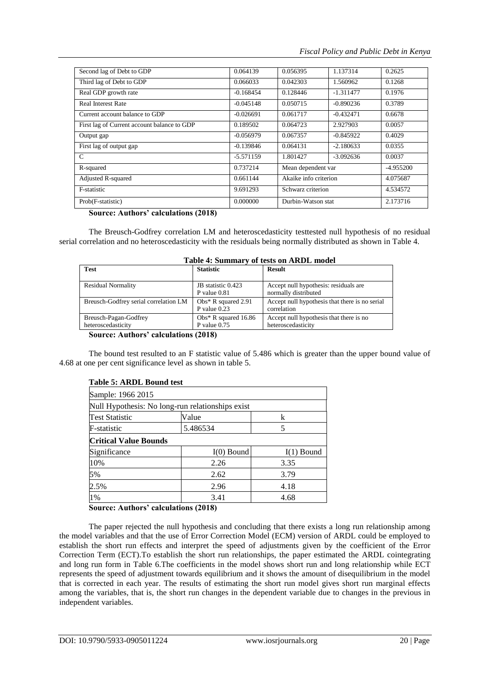| 0.064139    | 0.056395              | 1.137314    | 0.2625             |
|-------------|-----------------------|-------------|--------------------|
| 0.066033    | 0.042303              | 1.560962    | 0.1268             |
| $-0.168454$ | 0.128446              | $-1.311477$ | 0.1976             |
| $-0.045148$ | 0.050715              | $-0.890236$ | 0.3789             |
| $-0.026691$ | 0.061717              | $-0.432471$ | 0.6678             |
| 0.189502    | 0.064723              | 2.927903    | 0.0057             |
| $-0.056979$ | 0.067357              | $-0.845922$ | 0.4029             |
| $-0.139846$ | 0.064131              | $-2.180633$ | 0.0355             |
| $-5.571159$ | 1.801427              | $-3.092636$ | 0.0037             |
| 0.737214    | Mean dependent var    |             | -4.955200          |
| 0.661144    | Akaike info criterion |             | 4.075687           |
| 9.691293    | Schwarz criterion     |             | 4.534572           |
| 0.000000    |                       |             | 2.173716           |
|             |                       |             | Durbin-Watson stat |

#### **Source: Authors' calculations (2018)**

The Breusch-Godfrey correlation LM and heteroscedasticity testtested null hypothesis of no residual serial correlation and no heteroscedasticity with the residuals being normally distributed as shown in Table 4.

| Tuble - Dummur , or tests on three model    |                                          |                                                               |  |  |
|---------------------------------------------|------------------------------------------|---------------------------------------------------------------|--|--|
| <b>Test</b>                                 | <b>Statistic</b>                         | <b>Result</b>                                                 |  |  |
| <b>Residual Normality</b>                   | JB statistic 0.423<br>$P$ value $0.81$   | Accept null hypothesis: residuals are<br>normally distributed |  |  |
| Breusch-Godfrey serial correlation LM       | Obs* R squared $2.91$<br>P value $0.23$  | Accept null hypothesis that there is no serial<br>correlation |  |  |
| Breusch-Pagan-Godfrey<br>heteroscedasticity | Obs* R squared $16.86$<br>P value $0.75$ | Accept null hypothesis that there is no<br>heteroscedasticity |  |  |
|                                             |                                          |                                                               |  |  |

# **Table 4: Summary of tests on ARDL model**

#### **Source: Authors' calculations (2018)**

The bound test resulted to an F statistic value of 5.486 which is greater than the upper bound value of 4.68 at one per cent significance level as shown in table 5.

## **Table 5: ARDL Bound test**

| Sample: 1966 2015                                |              |              |  |  |
|--------------------------------------------------|--------------|--------------|--|--|
| Null Hypothesis: No long-run relationships exist |              |              |  |  |
| <b>Test Statistic</b>                            | Value        | k            |  |  |
| F-statistic                                      | 5.486534     | 5            |  |  |
| <b>Critical Value Bounds</b>                     |              |              |  |  |
| Significance                                     | $I(0)$ Bound | $I(1)$ Bound |  |  |
| 10%                                              | 2.26         | 3.35         |  |  |
| 5%                                               | 2.62         | 3.79         |  |  |
| 2.5%                                             | 2.96         | 4.18         |  |  |
| 1%                                               | 3.41         | 4.68         |  |  |

## **Source: Authors' calculations (2018)**

The paper rejected the null hypothesis and concluding that there exists a long run relationship among the model variables and that the use of Error Correction Model (ECM) version of ARDL could be employed to establish the short run effects and interpret the speed of adjustments given by the coefficient of the Error Correction Term (ECT).To establish the short run relationships, the paper estimated the ARDL cointegrating and long run form in Table 6.The coefficients in the model shows short run and long relationship while ECT represents the speed of adjustment towards equilibrium and it shows the amount of disequilibrium in the model that is corrected in each year. The results of estimating the short run model gives short run marginal effects among the variables, that is, the short run changes in the dependent variable due to changes in the previous in independent variables.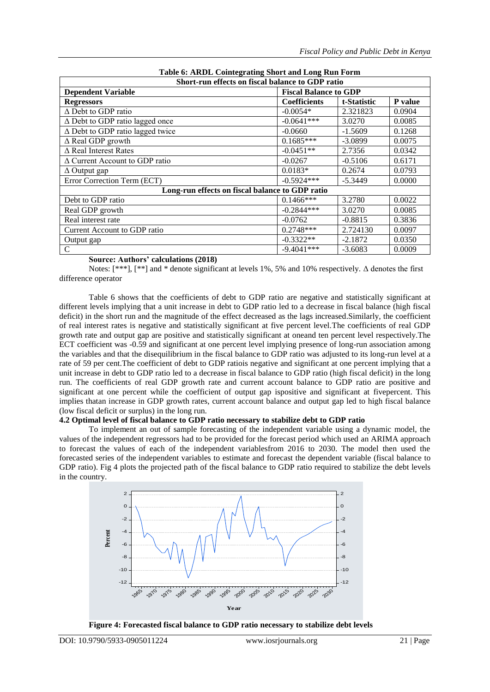| Short-run effects on fiscal balance to GDP ratio |                              |             |         |  |
|--------------------------------------------------|------------------------------|-------------|---------|--|
| <b>Dependent Variable</b>                        | <b>Fiscal Balance to GDP</b> |             |         |  |
| <b>Regressors</b>                                | <b>Coefficients</b>          | t-Statistic | P value |  |
| $\Delta$ Debt to GDP ratio                       | $-0.0054*$                   | 2.321823    | 0.0904  |  |
| $\Delta$ Debt to GDP ratio lagged once           | $-0.0641***$                 | 3.0270      | 0.0085  |  |
| $\Delta$ Debt to GDP ratio lagged twice          | $-0.0660$                    | $-1.5609$   | 0.1268  |  |
| $\Delta$ Real GDP growth                         | $0.1685***$                  | $-3.0899$   | 0.0075  |  |
| $\triangle$ Real Interest Rates                  | $-0.0451**$                  | 2.7356      | 0.0342  |  |
| $\Delta$ Current Account to GDP ratio            | $-0.0267$                    | $-0.5106$   | 0.6171  |  |
| $\Delta$ Output gap                              | $0.0183*$                    | 0.2674      | 0.0793  |  |
| Error Correction Term (ECT)                      | $-0.5924***$                 | $-5.3449$   | 0.0000  |  |
| Long-run effects on fiscal balance to GDP ratio  |                              |             |         |  |
| Debt to GDP ratio                                | $0.1466$ ***                 | 3.2780      | 0.0022  |  |
| Real GDP growth                                  | $-0.2844***$                 | 3.0270      | 0.0085  |  |
| Real interest rate                               | $-0.0762$                    | $-0.8815$   | 0.3836  |  |
| Current Account to GDP ratio                     | $0.2748***$                  | 2.724130    | 0.0097  |  |
| Output gap                                       | $-0.3322**$                  | $-2.1872$   | 0.0350  |  |
| $\mathcal{C}$                                    | $-9.4041***$                 | $-3.6083$   | 0.0009  |  |

# **Table 6: ARDL Cointegrating Short and Long Run Form**

## **Source: Authors' calculations (2018)**

Notes: [\*\*\*], [\*\*] and \* denote significant at levels 1%, 5% and 10% respectively. Δ denotes the first difference operator

Table 6 shows that the coefficients of debt to GDP ratio are negative and statistically significant at different levels implying that a unit increase in debt to GDP ratio led to a decrease in fiscal balance (high fiscal deficit) in the short run and the magnitude of the effect decreased as the lags increased.Similarly, the coefficient of real interest rates is negative and statistically significant at five percent level.The coefficients of real GDP growth rate and output gap are positive and statistically significant at oneand ten percent level respectively.The ECT coefficient was -0.59 and significant at one percent level implying presence of long-run association among the variables and that the disequilibrium in the fiscal balance to GDP ratio was adjusted to its long-run level at a rate of 59 per cent.The coefficient of debt to GDP ratiois negative and significant at one percent implying that a unit increase in debt to GDP ratio led to a decrease in fiscal balance to GDP ratio (high fiscal deficit) in the long run. The coefficients of real GDP growth rate and current account balance to GDP ratio are positive and significant at one percent while the coefficient of output gap ispositive and significant at fivepercent. This implies thatan increase in GDP growth rates, current account balance and output gap led to high fiscal balance (low fiscal deficit or surplus) in the long run.

## **4.2 Optimal level of fiscal balance to GDP ratio necessary to stabilize debt to GDP ratio**

To implement an out of sample forecasting of the independent variable using a dynamic model, the values of the independent regressors had to be provided for the forecast period which used an ARIMA approach to forecast the values of each of the independent variablesfrom 2016 to 2030. The model then used the forecasted series of the independent variables to estimate and forecast the dependent variable (fiscal balance to GDP ratio). Fig 4 plots the projected path of the fiscal balance to GDP ratio required to stabilize the debt levels in the country.

![](_page_9_Figure_8.jpeg)

**Figure 4: Forecasted fiscal balance to GDP ratio necessary to stabilize debt levels**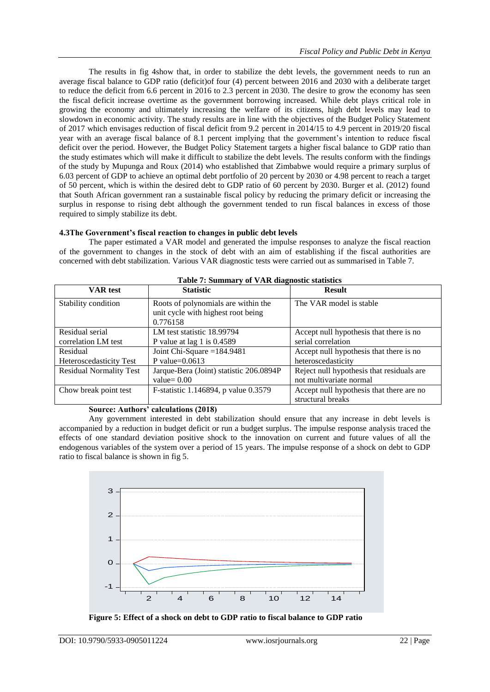The results in fig 4show that, in order to stabilize the debt levels, the government needs to run an average fiscal balance to GDP ratio (deficit)of four (4) percent between 2016 and 2030 with a deliberate target to reduce the deficit from 6.6 percent in 2016 to 2.3 percent in 2030. The desire to grow the economy has seen the fiscal deficit increase overtime as the government borrowing increased. While debt plays critical role in growing the economy and ultimately increasing the welfare of its citizens, high debt levels may lead to slowdown in economic activity. The study results are in line with the objectives of the Budget Policy Statement of 2017 which envisages reduction of fiscal deficit from 9.2 percent in 2014/15 to 4.9 percent in 2019/20 fiscal year with an average fiscal balance of 8.1 percent implying that the government"s intention to reduce fiscal deficit over the period. However, the Budget Policy Statement targets a higher fiscal balance to GDP ratio than the study estimates which will make it difficult to stabilize the debt levels. The results conform with the findings of the study by Mupunga and Roux (2014) who established that Zimbabwe would require a primary surplus of 6.03 percent of GDP to achieve an optimal debt portfolio of 20 percent by 2030 or 4.98 percent to reach a target of 50 percent, which is within the desired debt to GDP ratio of 60 percent by 2030. Burger et al. (2012) found that South African government ran a sustainable fiscal policy by reducing the primary deficit or increasing the surplus in response to rising debt although the government tended to run fiscal balances in excess of those required to simply stabilize its debt.

## **4.3The Government's fiscal reaction to changes in public debt levels**

The paper estimated a VAR model and generated the impulse responses to analyze the fiscal reaction of the government to changes in the stock of debt with an aim of establishing if the fiscal authorities are concerned with debt stabilization. Various VAR diagnostic tests were carried out as summarised in Table 7.

| <b>VAR</b> test                | <b>Statistic</b>                                                          | <b>Result</b>                             |
|--------------------------------|---------------------------------------------------------------------------|-------------------------------------------|
| Stability condition            | Roots of polynomials are within the<br>unit cycle with highest root being | The VAR model is stable                   |
|                                | 0.776158                                                                  |                                           |
| Residual serial                | LM test statistic 18.99794                                                | Accept null hypothesis that there is no   |
| correlation LM test            | P value at lag 1 is $0.4589$                                              | serial correlation                        |
| Residual                       | Joint Chi-Square $=184.9481$                                              | Accept null hypothesis that there is no   |
| <b>Heteroscedasticity Test</b> | P value= $0.0613$                                                         | heteroscedasticity                        |
| <b>Residual Normality Test</b> | Jarque-Bera (Joint) statistic 206.0894P                                   | Reject null hypothesis that residuals are |
|                                | value= $0.00$                                                             | not multivariate normal                   |
| Chow break point test          | F-statistic 1.146894, p value 0.3579                                      | Accept null hypothesis that there are no  |
|                                |                                                                           | structural breaks                         |

|  | Table 7: Summary of VAR diagnostic statistics |  |
|--|-----------------------------------------------|--|
|  |                                               |  |

# **Source: Authors' calculations (2018)**

Any government interested in debt stabilization should ensure that any increase in debt levels is accompanied by a reduction in budget deficit or run a budget surplus. The impulse response analysis traced the effects of one standard deviation positive shock to the innovation on current and future values of all the endogenous variables of the system over a period of 15 years. The impulse response of a shock on debt to GDP ratio to fiscal balance is shown in fig 5.

![](_page_10_Figure_8.jpeg)

![](_page_10_Figure_9.jpeg)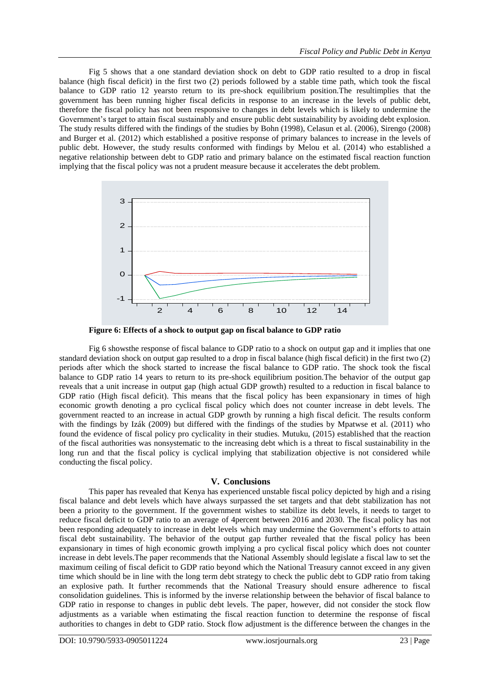Fig 5 shows that a one standard deviation shock on debt to GDP ratio resulted to a drop in fiscal balance (high fiscal deficit) in the first two (2) periods followed by a stable time path, which took the fiscal balance to GDP ratio 12 yearsto return to its pre-shock equilibrium position.The resultimplies that the government has been running higher fiscal deficits in response to an increase in the levels of public debt, therefore the fiscal policy has not been responsive to changes in debt levels which is likely to undermine the Government's target to attain fiscal sustainably and ensure public debt sustainability by avoiding debt explosion. The study results differed with the findings of the studies by Bohn (1998), Celasun et al. (2006), Sirengo (2008) and Burger et al. (2012) which established a positive response of primary balances to increase in the levels of public debt. However, the study results conformed with findings by Melou et al. (2014) who established a negative relationship between debt to GDP ratio and primary balance on the estimated fiscal reaction function implying that the fiscal policy was not a prudent measure because it accelerates the debt problem.

![](_page_11_Figure_2.jpeg)

**Figure 6: Effects of a shock to output gap on fiscal balance to GDP ratio**

Fig 6 showsthe response of fiscal balance to GDP ratio to a shock on output gap and it implies that one standard deviation shock on output gap resulted to a drop in fiscal balance (high fiscal deficit) in the first two (2) periods after which the shock started to increase the fiscal balance to GDP ratio. The shock took the fiscal balance to GDP ratio 14 years to return to its pre-shock equilibrium position.The behavior of the output gap reveals that a unit increase in output gap (high actual GDP growth) resulted to a reduction in fiscal balance to GDP ratio (High fiscal deficit). This means that the fiscal policy has been expansionary in times of high economic growth denoting a pro cyclical fiscal policy which does not counter increase in debt levels. The government reacted to an increase in actual GDP growth by running a high fiscal deficit. The results conform with the findings by Izák (2009) but differed with the findings of the studies by Mpatwse et al. (2011) who found the evidence of fiscal policy pro cyclicality in their studies. Mutuku, (2015) established that the reaction of the fiscal authorities was nonsystematic to the increasing debt which is a threat to fiscal sustainability in the long run and that the fiscal policy is cyclical implying that stabilization objective is not considered while conducting the fiscal policy.

#### **V. Conclusions**

This paper has revealed that Kenya has experienced unstable fiscal policy depicted by high and a rising fiscal balance and debt levels which have always surpassed the set targets and that debt stabilization has not been a priority to the government. If the government wishes to stabilize its debt levels, it needs to target to reduce fiscal deficit to GDP ratio to an average of 4percent between 2016 and 2030. The fiscal policy has not been responding adequately to increase in debt levels which may undermine the Government"s efforts to attain fiscal debt sustainability. The behavior of the output gap further revealed that the fiscal policy has been expansionary in times of high economic growth implying a pro cyclical fiscal policy which does not counter increase in debt levels.The paper recommends that the National Assembly should legislate a fiscal law to set the maximum ceiling of fiscal deficit to GDP ratio beyond which the National Treasury cannot exceed in any given time which should be in line with the long term debt strategy to check the public debt to GDP ratio from taking an explosive path. It further recommends that the National Treasury should ensure adherence to fiscal consolidation guidelines. This is informed by the inverse relationship between the behavior of fiscal balance to GDP ratio in response to changes in public debt levels. The paper, however, did not consider the stock flow adjustments as a variable when estimating the fiscal reaction function to determine the response of fiscal authorities to changes in debt to GDP ratio. Stock flow adjustment is the difference between the changes in the